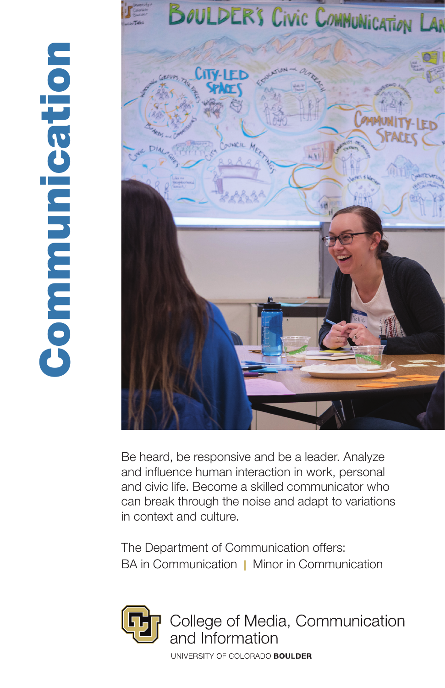

Be heard, be responsive and be a leader. Analyze and influence human interaction in work, personal and civic life. Become a skilled communicator who can break through the noise and adapt to variations in context and culture.

The Department of Communication offers: BA in Communication | Minor in Communication



College of Media, Communication and Information

UNIVERSITY OF COLORADO BOULDER